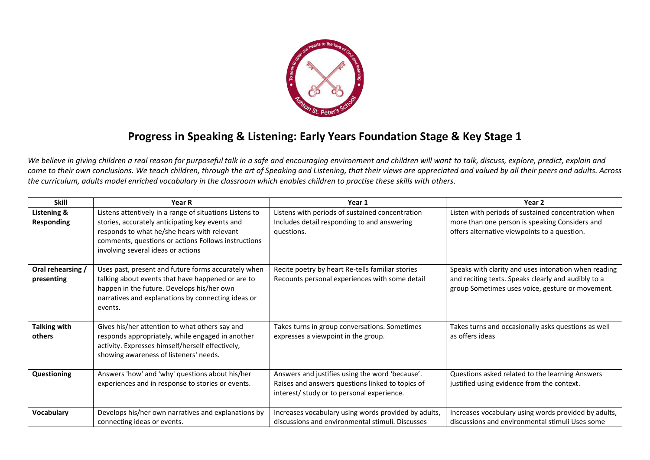

## **Progress in Speaking & Listening: Early Years Foundation Stage & Key Stage 1**

We believe in giving children a real reason for purposeful talk in a safe and encouraging environment and children will want to talk, discuss, explore, predict, explain and *come to their own conclusions. We teach children, through the art of Speaking and Listening, that their views are appreciated and valued by all their peers and adults. Across the curriculum, adults model enriched vocabulary in the classroom which enables children to practise these skills with others.* 

| <b>Skill</b>        | Year R                                                  | Year 1                                               | Year <sub>2</sub>                                    |
|---------------------|---------------------------------------------------------|------------------------------------------------------|------------------------------------------------------|
| Listening &         | Listens attentively in a range of situations Listens to | Listens with periods of sustained concentration      | Listen with periods of sustained concentration when  |
| <b>Responding</b>   | stories, accurately anticipating key events and         | Includes detail responding to and answering          | more than one person is speaking Considers and       |
|                     | responds to what he/she hears with relevant             | questions.                                           | offers alternative viewpoints to a question.         |
|                     | comments, questions or actions Follows instructions     |                                                      |                                                      |
|                     | involving several ideas or actions                      |                                                      |                                                      |
| Oral rehearsing /   | Uses past, present and future forms accurately when     | Recite poetry by heart Re-tells familiar stories     | Speaks with clarity and uses intonation when reading |
| presenting          | talking about events that have happened or are to       | Recounts personal experiences with some detail       | and reciting texts. Speaks clearly and audibly to a  |
|                     | happen in the future. Develops his/her own              |                                                      | group Sometimes uses voice, gesture or movement.     |
|                     | narratives and explanations by connecting ideas or      |                                                      |                                                      |
|                     | events.                                                 |                                                      |                                                      |
| <b>Talking with</b> | Gives his/her attention to what others say and          | Takes turns in group conversations. Sometimes        | Takes turns and occasionally asks questions as well  |
| others              | responds appropriately, while engaged in another        | expresses a viewpoint in the group.                  | as offers ideas                                      |
|                     | activity. Expresses himself/herself effectively,        |                                                      |                                                      |
|                     | showing awareness of listeners' needs.                  |                                                      |                                                      |
| <b>Questioning</b>  | Answers 'how' and 'why' questions about his/her         | Answers and justifies using the word 'because'.      | Questions asked related to the learning Answers      |
|                     | experiences and in response to stories or events.       | Raises and answers questions linked to topics of     | justified using evidence from the context.           |
|                     |                                                         | interest/ study or to personal experience.           |                                                      |
|                     |                                                         |                                                      |                                                      |
| Vocabulary          | Develops his/her own narratives and explanations by     | Increases vocabulary using words provided by adults, | Increases vocabulary using words provided by adults, |
|                     | connecting ideas or events.                             | discussions and environmental stimuli. Discusses     | discussions and environmental stimuli Uses some      |